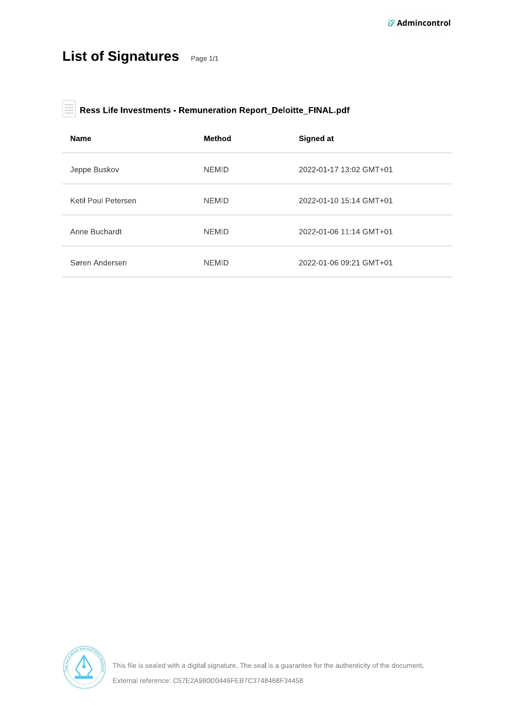## List of Signatures Page 1/1

#### $\Big\vert$  Ress Life Investments - Remuneration Report\_Deloitte\_FINAL.pdf 旨

| <b>Name</b>         | <b>Method</b> | Signed at               |
|---------------------|---------------|-------------------------|
| Jeppe Buskov        | <b>NEMID</b>  | 2022-01-17 13:02 GMT+01 |
| Ketil Poul Petersen | <b>NEMID</b>  | 2022-01-10 15:14 GMT+01 |
| Anne Buchardt       | <b>NEMID</b>  | 2022-01-06 11:14 GMT+01 |
| Søren Andersen      | <b>NEMID</b>  | 2022-01-06 09:21 GMT+01 |

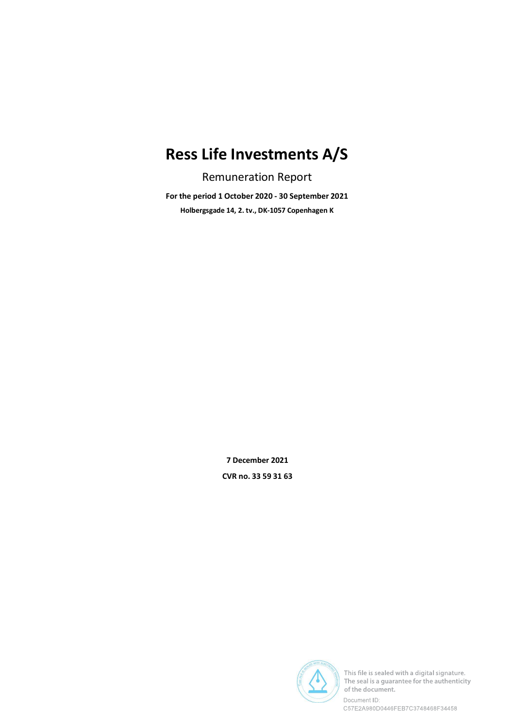# Ress Life Investments A/S

Remuneration Report

For the period 1 October 2020 - 30 September 2021 Holbergsgade 14, 2. tv., DK-1057 Copenhagen K

> 7 December 2021 CVR no. 33 59 31 63



This file is sealed with a digital signature. The seal is a guarantee for the authenticity of the document.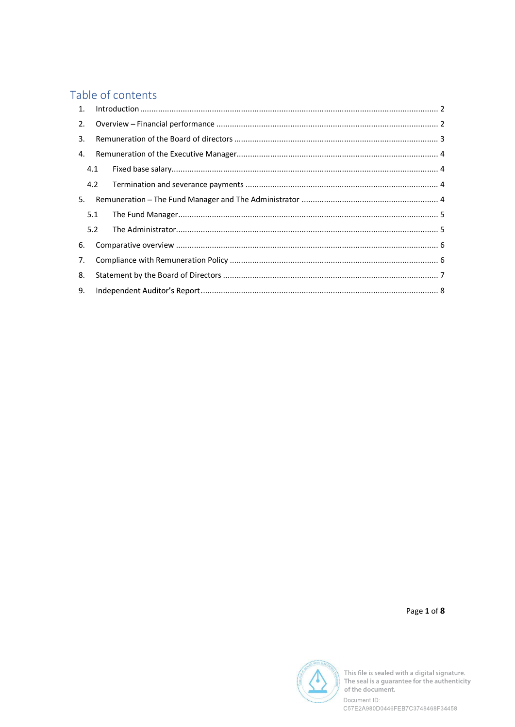## Table of contents

| 1. |     |  |  |  |
|----|-----|--|--|--|
| 2. |     |  |  |  |
| 3. |     |  |  |  |
| 4. |     |  |  |  |
|    | 4.1 |  |  |  |
|    |     |  |  |  |
| 5. |     |  |  |  |
|    | 5.1 |  |  |  |
|    | 5.2 |  |  |  |
| 6. |     |  |  |  |
| 7. |     |  |  |  |
| 8. |     |  |  |  |
| 9. |     |  |  |  |
|    |     |  |  |  |

Page 1 of 8



This file is sealed with a digital signature.<br>The seal is a guarantee for the authenticity<br>of the document.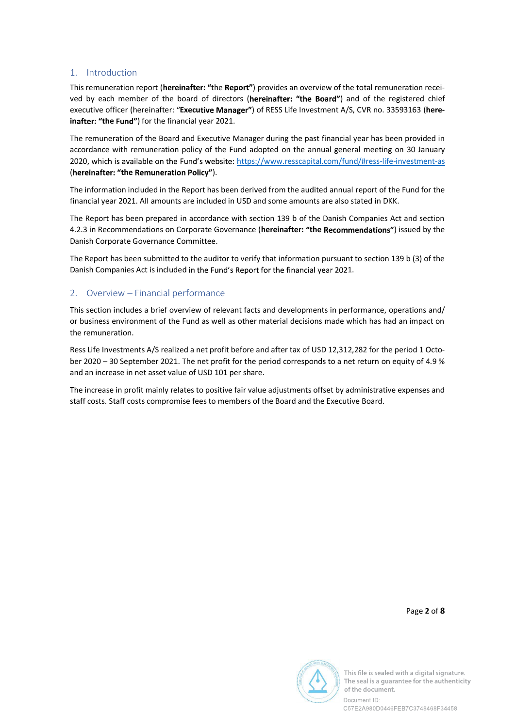### 1. Introduction

This remuneration report (hereinafter: "the Report") provides an overview of the total remuneration received by each member of the board of directors (hereinafter: "the Board") and of the registered chief executive officer (hereinafter: "Executive Manager") of RESS Life Investment A/S, CVR no. 33593163 (hereinafter: "the Fund") for the financial year 2021.

The remuneration of the Board and Executive Manager during the past financial year has been provided in accordance with remuneration policy of the Fund adopted on the annual general meeting on 30 January 2020, which is available on the Fund's website: https://www.resscapital.com/fund/#ress-life-investment-as (hereinafter: "the Remuneration Policy").

The information included in the Report has been derived from the audited annual report of the Fund for the financial year 2021. All amounts are included in USD and some amounts are also stated in DKK.

The Report has been prepared in accordance with section 139 b of the Danish Companies Act and section 4.2.3 in Recommendations on Corporate Governance (hereinafter: "the Recommendations") issued by the Danish Corporate Governance Committee.

The Report has been submitted to the auditor to verify that information pursuant to section 139 b (3) of the Danish Companies Act is included in the Fund's Report for the financial year 2021.

## 2. Overview - Financial performance

This section includes a brief overview of relevant facts and developments in performance, operations and/ or business environment of the Fund as well as other material decisions made which has had an impact on the remuneration.

Ress Life Investments A/S realized a net profit before and after tax of USD 12,312,282 for the period 1 October 2020 - 30 September 2021. The net profit for the period corresponds to a net return on equity of 4.9 % and an increase in net asset value of USD 101 per share.

The increase in profit mainly relates to positive fair value adjustments offset by administrative expenses and staff costs. Staff costs compromise fees to members of the Board and the Executive Board.

Page 2 of 8



This file is sealed with a digital signature. The seal is a quarantee for the authenticity of the document.

C57E2A980D0446FEB7C3748468F34458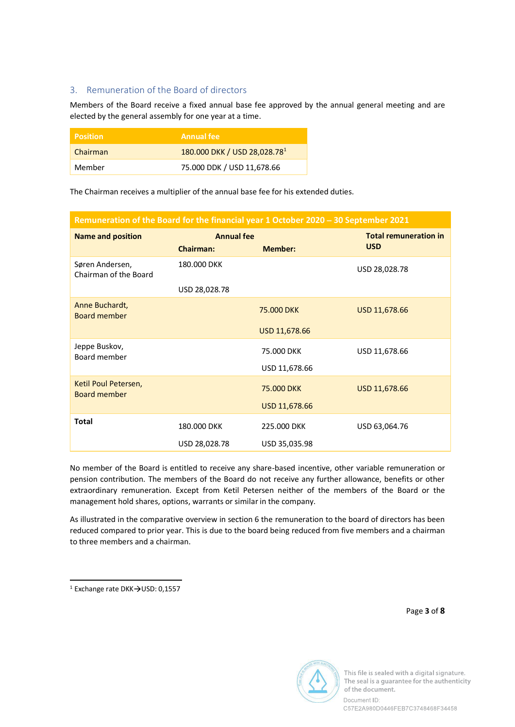## 3. Remuneration of the Board of directors

Members of the Board receive a fixed annual base fee approved by the annual general meeting and are elected by the general assembly for one year at a time.

| <b>Position</b> | <b>Annual fee</b>                        |
|-----------------|------------------------------------------|
| Chairman        | 180.000 DKK / USD 28,028.78 <sup>1</sup> |
| Member          | 75.000 DDK / USD 11,678.66               |

The Chairman receives a multiplier of the annual base fee for his extended duties.

#### Remuneration of the Board for the financial year 1 October 2020 - 30 September 2021

| <b>Name and position</b>                                | <b>Annual fee</b> |                | <b>Total remuneration in</b> |
|---------------------------------------------------------|-------------------|----------------|------------------------------|
|                                                         | <b>Chairman:</b>  | <b>Member:</b> | <b>USD</b>                   |
| Søren Andersen,<br>180,000 DKK<br>Chairman of the Board |                   |                | USD 28,028.78                |
|                                                         | USD 28,028.78     |                |                              |
| Anne Buchardt,<br><b>Board member</b>                   |                   | 75,000 DKK     | USD 11,678.66                |
|                                                         |                   | USD 11,678.66  |                              |
| Jeppe Buskov,<br>Board member                           |                   | 75.000 DKK     | USD 11,678.66                |
|                                                         |                   | USD 11,678.66  |                              |
| Ketil Poul Petersen,<br><b>Board member</b>             |                   | 75,000 DKK     | USD 11,678.66                |
|                                                         |                   | USD 11,678.66  |                              |
| <b>Total</b>                                            | 180,000 DKK       | 225,000 DKK    | USD 63,064.76                |
|                                                         | USD 28,028.78     | USD 35,035.98  |                              |

No member of the Board is entitled to receive any share-based incentive, other variable remuneration or pension contribution. The members of the Board do not receive any further allowance, benefits or other extraordinary remuneration. Except from Ketil Petersen neither of the members of the Board or the management hold shares, options, warrants or similar in the company.

As illustrated in the comparative overview in section 6 the remuneration to the board of directors has been reduced compared to prior year. This is due to the board being reduced from five members and a chairman to three members and a chairman.

Page 3 of 8



This file is sealed with a digital signature. The seal is a quarantee for the authenticity of the document. Document ID:

C57E2A980D0446FEB7C3748468F34458

<sup>&</sup>lt;sup>1</sup> Exchange rate DKK $\rightarrow$ USD: 0,1557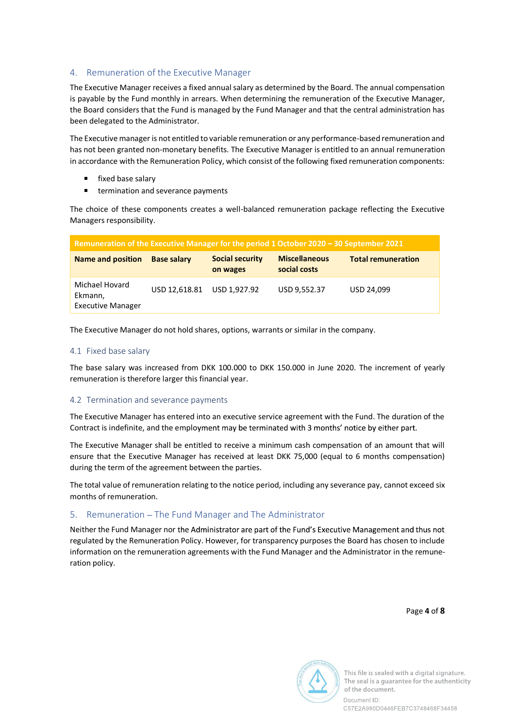## 4. Remuneration of the Executive Manager

The Executive Manager receives a fixed annual salary as determined by the Board. The annual compensation is payable by the Fund monthly in arrears. When determining the remuneration of the Executive Manager, the Board considers that the Fund is managed by the Fund Manager and that the central administration has been delegated to the Administrator.

The Executive manager is not entitled to variable remuneration or any performance-based remuneration and has not been granted non-monetary benefits. The Executive Manager is entitled to an annual remuneration in accordance with the Remuneration Policy, which consist of the following fixed remuneration components:

- **Fixed base salary**
- $\blacksquare$  . termination and severance payments

The choice of these components creates a well-balanced remuneration package reflecting the Executive Managers responsibility.

| Remuneration of the Executive Manager for the period 1 October 2020 - 30 September 2021 |                    |                                    |                                      |                           |  |
|-----------------------------------------------------------------------------------------|--------------------|------------------------------------|--------------------------------------|---------------------------|--|
| <b>Name and position</b>                                                                | <b>Base salary</b> | <b>Social security</b><br>on wages | <b>Miscellaneous</b><br>social costs | <b>Total remuneration</b> |  |
| Michael Hovard<br>Ekmann,<br><b>Executive Manager</b>                                   | USD 12,618.81      | USD 1,927.92                       | USD 9,552.37                         | USD 24,099                |  |

The Executive Manager do not hold shares, options, warrants or similar in the company.

#### 4.1 Fixed base salary

The base salary was increased from DKK 100.000 to DKK 150.000 in June 2020. The increment of yearly remuneration is therefore larger this financial year.

#### 4.2 Termination and severance payments

The Executive Manager has entered into an executive service agreement with the Fund. The duration of the Contract is indefinite, and the employment may be terminated with 3 months' notice by either part.

The Executive Manager shall be entitled to receive a minimum cash compensation of an amount that will ensure that the Executive Manager has received at least DKK 75,000 (equal to 6 months compensation) during the term of the agreement between the parties.

The total value of remuneration relating to the notice period, including any severance pay, cannot exceed six months of remuneration.

#### 5. Remuneration - The Fund Manager and The Administrator

Neither the Fund Manager nor the Administrator are part of the Fund's Executive Management and thus not regulated by the Remuneration Policy. However, for transparency purposes the Board has chosen to include information on the remuneration agreements with the Fund Manager and the Administrator in the remuneration policy.

Page 4 of 8



This file is sealed with a digital signature. The seal is a quarantee for the authenticity of the document.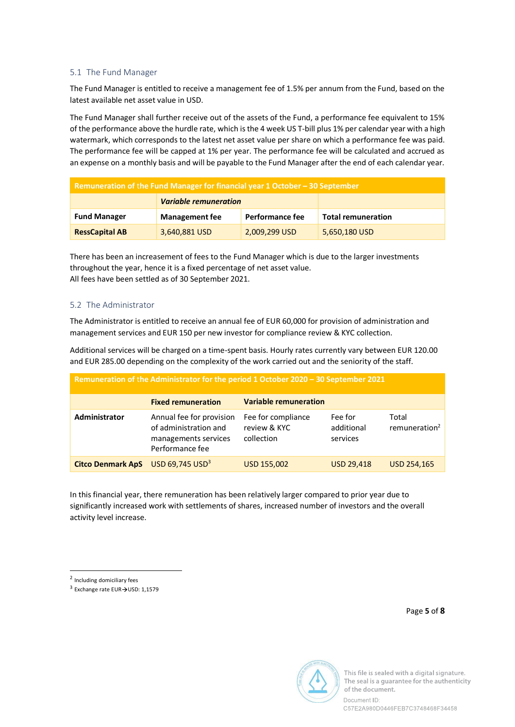#### 5.1 The Fund Manager

The Fund Manager is entitled to receive a management fee of 1.5% per annum from the Fund, based on the latest available net asset value in USD.

The Fund Manager shall further receive out of the assets of the Fund, a performance fee equivalent to 15% of the performance above the hurdle rate, which is the 4 week US T-bill plus 1% per calendar year with a high watermark, which corresponds to the latest net asset value per share on which a performance fee was paid. The performance fee will be capped at 1% per year. The performance fee will be calculated and accrued as an expense on a monthly basis and will be payable to the Fund Manager after the end of each calendar year.

| Remuneration of the Fund Manager for financial year 1 October - 30 September |                                                 |  |                           |  |  |
|------------------------------------------------------------------------------|-------------------------------------------------|--|---------------------------|--|--|
|                                                                              | <b>Variable remuneration</b>                    |  |                           |  |  |
| <b>Fund Manager</b>                                                          | <b>Performance fee</b><br><b>Management fee</b> |  | <b>Total remuneration</b> |  |  |
| <b>RessCapital AB</b>                                                        | 2,009,299 USD<br>3,640,881 USD<br>5,650,180 USD |  |                           |  |  |

There has been an increasement of fees to the Fund Manager which is due to the larger investments throughout the year, hence it is a fixed percentage of net asset value. All fees have been settled as of 30 September 2021.

### 5.2 The Administrator

The Administrator is entitled to receive an annual fee of EUR 60,000 for provision of administration and management services and EUR 150 per new investor for compliance review & KYC collection.

Additional services will be charged on a time-spent basis. Hourly rates currently vary between EUR 120.00 and EUR 285.00 depending on the complexity of the work carried out and the seniority of the staff.

| Remuneration of the Administrator for the period 1 October 2020 - 30 September 2021 |                                                                                              |                                                  |                                   |                                    |  |
|-------------------------------------------------------------------------------------|----------------------------------------------------------------------------------------------|--------------------------------------------------|-----------------------------------|------------------------------------|--|
|                                                                                     | <b>Fixed remuneration</b>                                                                    | <b>Variable remuneration</b>                     |                                   |                                    |  |
| Administrator                                                                       | Annual fee for provision<br>of administration and<br>managements services<br>Performance fee | Fee for compliance<br>review & KYC<br>collection | Fee for<br>additional<br>services | Total<br>remuneration <sup>2</sup> |  |
| <b>Citco Denmark ApS</b>                                                            | $USD$ 69,745 $USD3$                                                                          | USD 155,002                                      | <b>USD 29,418</b>                 | <b>USD 254,165</b>                 |  |

In this financial year, there remuneration has been relatively larger compared to prior year due to significantly increased work with settlements of shares, increased number of investors and the overall activity level increase.

<sup>2</sup> Including domiciliary fees

 $3$  Exchange rate EUR $\rightarrow$ USD: 1,1579

Page 5 of 8



This file is sealed with a digital signature. The seal is a quarantee for the authenticity of the document.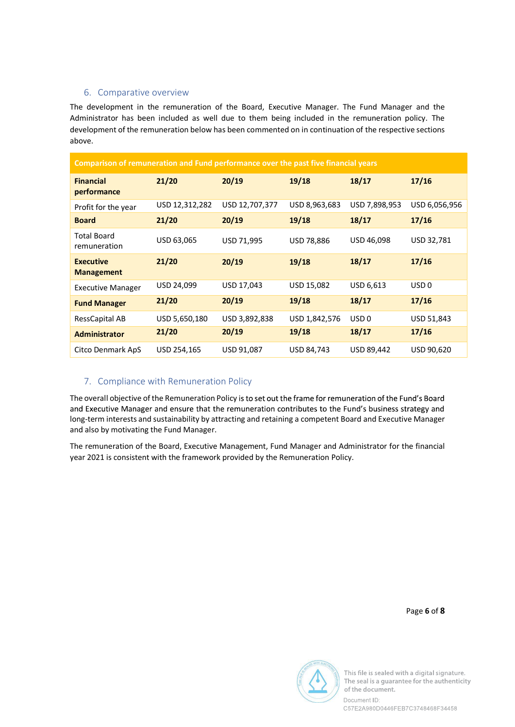### 6. Comparative overview

The development in the remuneration of the Board, Executive Manager. The Fund Manager and the Administrator has been included as well due to them being included in the remuneration policy. The development of the remuneration below has been commented on in continuation of the respective sections above.

| Comparison of remuneration and Fund performance over the past five financial years |                |                |               |                  |                  |  |
|------------------------------------------------------------------------------------|----------------|----------------|---------------|------------------|------------------|--|
| <b>Financial</b><br>performance                                                    | 21/20          | 20/19          | 19/18         | 18/17            | 17/16            |  |
| Profit for the year                                                                | USD 12,312,282 | USD 12,707,377 | USD 8,963,683 | USD 7,898,953    | USD 6,056,956    |  |
| <b>Board</b>                                                                       | 21/20          | 20/19          | 19/18         | 18/17            | 17/16            |  |
| <b>Total Board</b><br>remuneration                                                 | USD 63,065     | USD 71,995     | USD 78,886    | USD 46,098       | USD 32,781       |  |
| <b>Executive</b><br><b>Management</b>                                              | 21/20          | 20/19          | 19/18         | 18/17            | 17/16            |  |
| <b>Executive Manager</b>                                                           | USD 24,099     | USD 17,043     | USD 15,082    | USD 6,613        | USD <sub>0</sub> |  |
| <b>Fund Manager</b>                                                                | 21/20          | 20/19          | 19/18         | 18/17            | 17/16            |  |
| RessCapital AB                                                                     | USD 5,650,180  | USD 3,892,838  | USD 1,842,576 | USD <sub>0</sub> | USD 51,843       |  |
| <b>Administrator</b>                                                               | 21/20          | 20/19          | 19/18         | 18/17            | 17/16            |  |
| Citco Denmark ApS                                                                  | USD 254,165    | USD 91,087     | USD 84,743    | USD 89,442       | USD 90,620       |  |

## 7. Compliance with Remuneration Policy

The overall objective of the Remuneration Policy is to set out the frame for remuneration of the Fund's Board and Executive Manager and ensure that the remuneration contributes to the Fund's business strategy and long-term interests and sustainability by attracting and retaining a competent Board and Executive Manager and also by motivating the Fund Manager.

The remuneration of the Board, Executive Management, Fund Manager and Administrator for the financial year 2021 is consistent with the framework provided by the Remuneration Policy.

Page 6 of 8



This file is sealed with a digital signature. The seal is a guarantee for the authenticity of the document.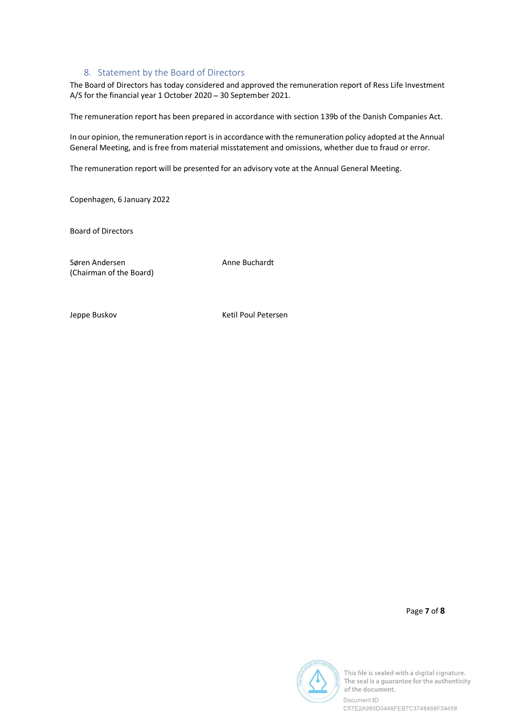### 8. Statement by the Board of Directors

The Board of Directors has today considered and approved the remuneration report of Ress Life Investment A/S for the financial year 1 October 2020 - 30 September 2021.

The remuneration report has been prepared in accordance with section 139b of the Danish Companies Act.

In our opinion, the remuneration report is in accordance with the remuneration policy adopted at the Annual General Meeting, and is free from material misstatement and omissions, whether due to fraud or error.

The remuneration report will be presented for an advisory vote at the Annual General Meeting.

Copenhagen, 6 January 2022

Board of Directors

Søren Andersen Anne Buchardt (Chairman of the Board)

Jeppe Buskov **Ketil Poul Petersen** 

Page 7 of 8



This file is sealed with a digital signature. The seal is a quarantee for the authenticity of the document.